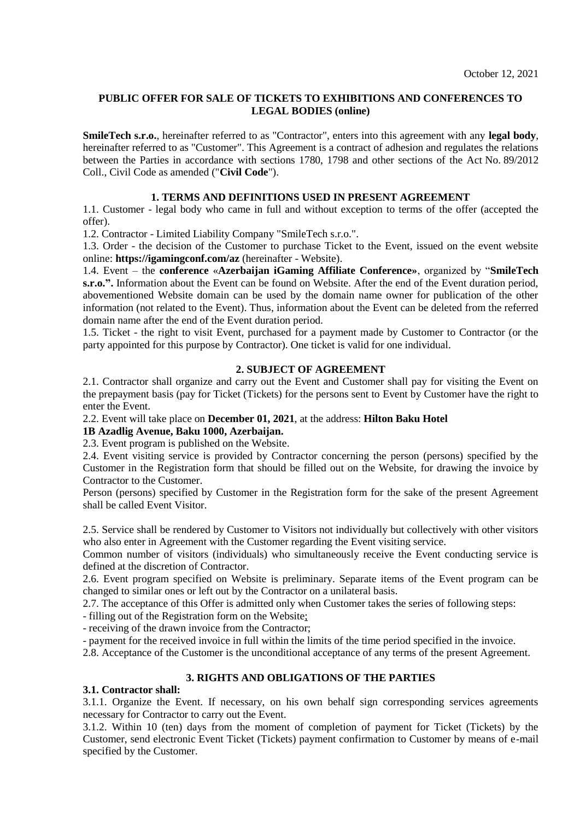## **PUBLIC OFFER FOR SALE OF TICKETS TO EXHIBITIONS AND CONFERENCES TO LEGAL BODIES (online)**

**SmileTech s.r.o.**, hereinafter referred to as "Contractor", enters into this agreement with any **legal body**, hereinafter referred to as "Customer". This Agreement is a contract of adhesion and regulates the relations between the Parties in accordance with sections 1780, 1798 and other sections of the Act No. 89/2012 Coll., Civil Code as amended ("**Civil Code**").

## **1. TERMS AND DEFINITIONS USED IN PRESENT AGREEMENT**

1.1. Customer - legal body who came in full and without exception to terms of the offer (accepted the offer).

1.2. Contractor - Limited Liability Company "SmileTech s.r.o.".

1.3. Order - the decision of the Customer to purchase Ticket to the Event, issued on the event website online: **https://igamingconf.com/az** (hereinafter - Website).

1.4. Event – the **сonference** «**Azerbaijan iGaming Affiliate Conference»**, organized by "**SmileTech s.r.o.".** Information about the Event can be found on Website. After the end of the Event duration period, abovementioned Website domain can be used by the domain name owner for publication of the other information (not related to the Event). Thus, information about the Event can be deleted from the referred domain name after the end of the Event duration period.

1.5. Ticket - the right to visit Event, purchased for a payment made by Customer to Contractor (or the party appointed for this purpose by Contractor). One ticket is valid for one individual.

## **2. SUBJECT OF AGREEMENT**

2.1. Contractor shall organize and carry out the Event and Customer shall pay for visiting the Event on the prepayment basis (pay for Ticket (Tickets) for the persons sent to Event by Customer have the right to enter the Event.

2.2. Event will take place on **December 01, 2021**, at the address: **Hilton Baku Hotel** 

## **1B Azadlig Avenue, Baku 1000, Azerbaijan.**

2.3. Event program is published on the Website.

2.4. Event visiting service is provided by Contractor concerning the person (persons) specified by the Customer in the Registration form that should be filled out on the Website, for drawing the invoice by Contractor to the Customer.

Person (persons) specified by Customer in the Registration form for the sake of the present Agreement shall be called Event Visitor.

2.5. Service shall be rendered by Customer to Visitors not individually but collectively with other visitors who also enter in Agreement with the Customer regarding the Event visiting service.

Common number of visitors (individuals) who simultaneously receive the Event conducting service is defined at the discretion of Contractor.

2.6. Event program specified on Website is preliminary. Separate items of the Event program can be changed to similar ones or left out by the Contractor on a unilateral basis.

2.7. The acceptance of this Offer is admitted only when Customer takes the series of following steps:

- filling out of the Registration form on the Website;

- receiving of the drawn invoice from the Contractor;

- payment for the received invoice in full within the limits of the time period specified in the invoice.

2.8. Acceptance of the Customer is the unconditional acceptance of any terms of the present Agreement.

### **3. RIGHTS AND OBLIGATIONS OF THE PARTIES**

# **3.1. Contractor shall:**

3.1.1. Organize the Event. If necessary, on his own behalf sign corresponding services agreements necessary for Contractor to carry out the Event.

3.1.2. Within 10 (ten) days from the moment of completion of payment for Ticket (Tickets) by the Customer, send electronic Event Ticket (Tickets) payment confirmation to Customer by means of e-mail specified by the Customer.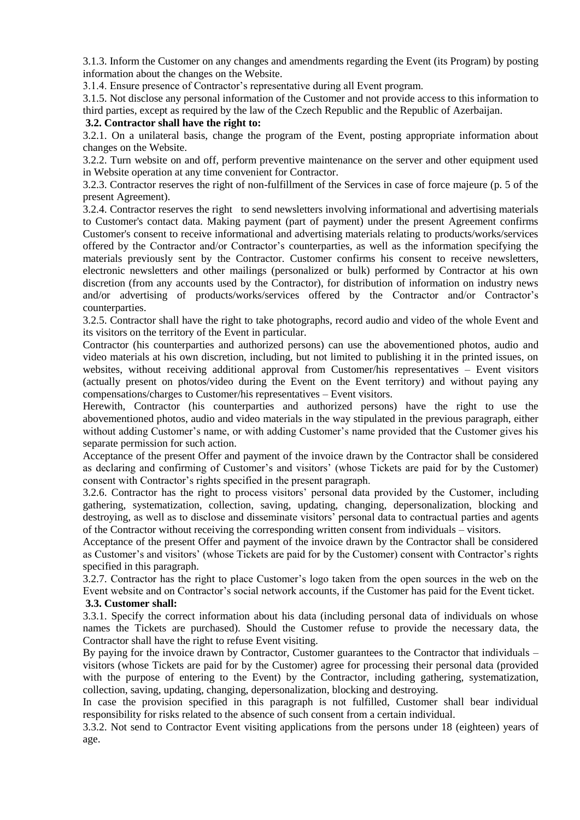3.1.3. Inform the Customer on any changes and amendments regarding the Event (its Program) by posting information about the changes on the Website.

3.1.4. Ensure presence of Contractor's representative during all Event program.

3.1.5. Not disclose any personal information of the Customer and not provide access to this information to third parties, except as required by the law of the Czech Republic and the Republic of Azerbaijan.

## **3.2. Contractor shall have the right to:**

3.2.1. On a unilateral basis, change the program of the Event, posting appropriate information about changes on the Website.

3.2.2. Turn website on and off, perform preventive maintenance on the server and other equipment used in Website operation at any time convenient for Contractor.

3.2.3. Contractor reserves the right of non-fulfillment of the Services in case of force majeure (p. 5 of the present Agreement).

3.2.4. Contractor reserves the right to send newsletters involving informational and advertising materials to Customer's contact data. Making payment (part of payment) under the present Agreement confirms Customer's consent to receive informational and advertising materials relating to products/works/services offered by the Contractor and/or Contractor's counterparties, as well as the information specifying the materials previously sent by the Contractor. Customer confirms his consent to receive newsletters, electronic newsletters and other mailings (personalized or bulk) performed by Contractor at his own discretion (from any accounts used by the Contractor), for distribution of information on industry news and/or advertising of products/works/services offered by the Contractor and/or Contractor's counterparties.

3.2.5. Contractor shall have the right to take photographs, record audio and video of the whole Event and its visitors on the territory of the Event in particular.

Contractor (his counterparties and authorized persons) can use the abovementioned photos, audio and video materials at his own discretion, including, but not limited to publishing it in the printed issues, on websites, without receiving additional approval from Customer/his representatives – Event visitors (actually present on photos/video during the Event on the Event territory) and without paying any compensations/charges to Customer/his representatives – Event visitors.

Herewith, Contractor (his counterparties and authorized persons) have the right to use the abovementioned photos, audio and video materials in the way stipulated in the previous paragraph, either without adding Customer's name, or with adding Customer's name provided that the Customer gives his separate permission for such action.

Acceptance of the present Offer and payment of the invoice drawn by the Contractor shall be considered as declaring and confirming of Customer's and visitors' (whose Tickets are paid for by the Customer) consent with Contractor's rights specified in the present paragraph.

3.2.6. Contractor has the right to process visitors' personal data provided by the Customer, including gathering, systematization, collection, saving, updating, changing, depersonalization, blocking and destroying, as well as to disclose and disseminate visitors' personal data to contractual parties and agents of the Contractor without receiving the corresponding written consent from individuals – visitors.

Acceptance of the present Offer and payment of the invoice drawn by the Contractor shall be considered as Customer's and visitors' (whose Tickets are paid for by the Customer) consent with Contractor's rights specified in this paragraph.

3.2.7. Contractor has the right to place Customer's logo taken from the open sources in the web on the Event website and on Contractor's social network accounts, if the Customer has paid for the Event ticket.

### **3.3. Customer shall:**

3.3.1. Specify the correct information about his data (including personal data of individuals on whose names the Tickets are purchased). Should the Customer refuse to provide the necessary data, the Contractor shall have the right to refuse Event visiting.

By paying for the invoice drawn by Contractor, Customer guarantees to the Contractor that individuals – visitors (whose Tickets are paid for by the Customer) agree for processing their personal data (provided with the purpose of entering to the Event) by the Contractor, including gathering, systematization, collection, saving, updating, changing, depersonalization, blocking and destroying.

In case the provision specified in this paragraph is not fulfilled, Customer shall bear individual responsibility for risks related to the absence of such consent from a certain individual.

3.3.2. Not send to Contractor Event visiting applications from the persons under 18 (eighteen) years of age.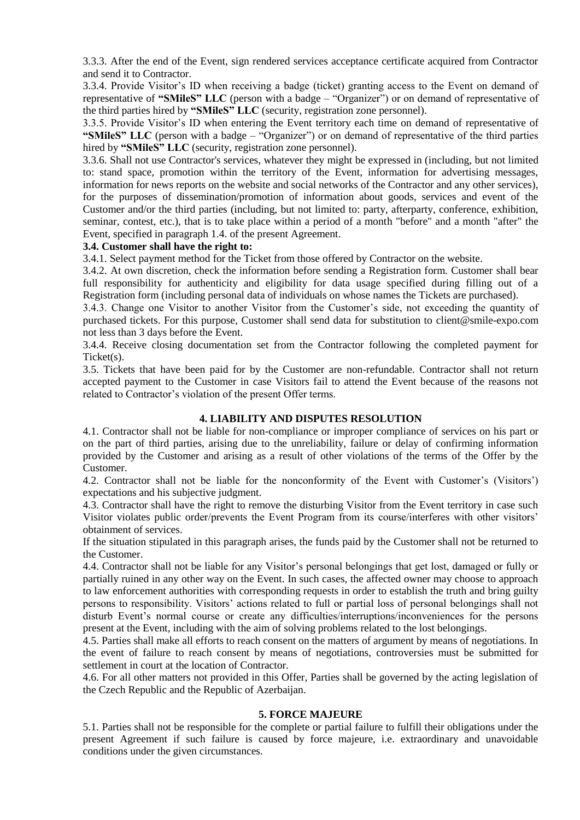3.3.3. After the end of the Event, sign rendered services acceptance certificate acquired from Contractor and send it to Contractor.

3.3.4. Provide Visitor's ID when receiving a badge (ticket) granting access to the Event on demand of representative of **"SMileS" LLC** (person with a badge – "Organizer") or on demand of representative of the third parties hired by **"SMileS" LLC** (security, registration zone personnel).

3.3.5. Provide Visitor's ID when entering the Event territory each time on demand of representative of **"SMileS" LLC** (person with a badge – "Organizer") or on demand of representative of the third parties hired by **"SMileS" LLC** (security, registration zone personnel).

3.3.6. Shall not use Contractor's services, whatever they might be expressed in (including, but not limited to: stand space, promotion within the territory of the Event, information for advertising messages, information for news reports on the website and social networks of the Contractor and any other services), for the purposes of dissemination/promotion of information about goods, services and event of the Customer and/or the third parties (including, but not limited to: party, afterparty, conference, exhibition, seminar, contest, etc.), that is to take place within a period of a month "before" and a month "after" the Event, specified in paragraph 1.4. of the present Agreement.

### **3.4. Customer shall have the right to:**

3.4.1. Select payment method for the Ticket from those offered by Contractor on the website.

3.4.2. At own discretion, check the information before sending a Registration form. Customer shall bear full responsibility for authenticity and eligibility for data usage specified during filling out of a Registration form (including personal data of individuals on whose names the Tickets are purchased).

3.4.3. Change one Visitor to another Visitor from the Customer's side, not exceeding the quantity of purchased tickets. For this purpose, Customer shall send data for substitution to client@smile-expo.com not less than 3 days before the Event.

3.4.4. Receive closing documentation set from the Contractor following the completed payment for Ticket(s).

3.5. Tickets that have been paid for by the Customer are non-refundable. Contractor shall not return accepted payment to the Customer in case Visitors fail to attend the Event because of the reasons not related to Contractor's violation of the present Offer terms.

### **4. LIABILITY AND DISPUTES RESOLUTION**

4.1. Contractor shall not be liable for non-compliance or improper compliance of services on his part or on the part of third parties, arising due to the unreliability, failure or delay of confirming information provided by the Customer and arising as a result of other violations of the terms of the Offer by the Customer.

4.2. Contractor shall not be liable for the nonconformity of the Event with Customer's (Visitors') expectations and his subjective judgment.

4.3. Contractor shall have the right to remove the disturbing Visitor from the Event territory in case such Visitor violates public order/prevents the Event Program from its course/interferes with other visitors' obtainment of services.

If the situation stipulated in this paragraph arises, the funds paid by the Customer shall not be returned to the Customer.

4.4. Contractor shall not be liable for any Visitor's personal belongings that get lost, damaged or fully or partially ruined in any other way on the Event. In such cases, the affected owner may choose to approach to law enforcement authorities with corresponding requests in order to establish the truth and bring guilty persons to responsibility. Visitors' actions related to full or partial loss of personal belongings shall not disturb Event's normal course or create any difficulties/interruptions/inconveniences for the persons present at the Event, including with the aim of solving problems related to the lost belongings.

4.5. Parties shall make all efforts to reach consent on the matters of argument by means of negotiations. In the event of failure to reach consent by means of negotiations, controversies must be submitted for settlement in court at the location of Contractor.

4.6. For all other matters not provided in this Offer, Parties shall be governed by the acting legislation of the Czech Republic and the Republic of Azerbaijan.

### **5. FORCE MAJEURE**

5.1. Parties shall not be responsible for the complete or partial failure to fulfill their obligations under the present Agreement if such failure is caused by force majeure, i.e. extraordinary and unavoidable conditions under the given circumstances.